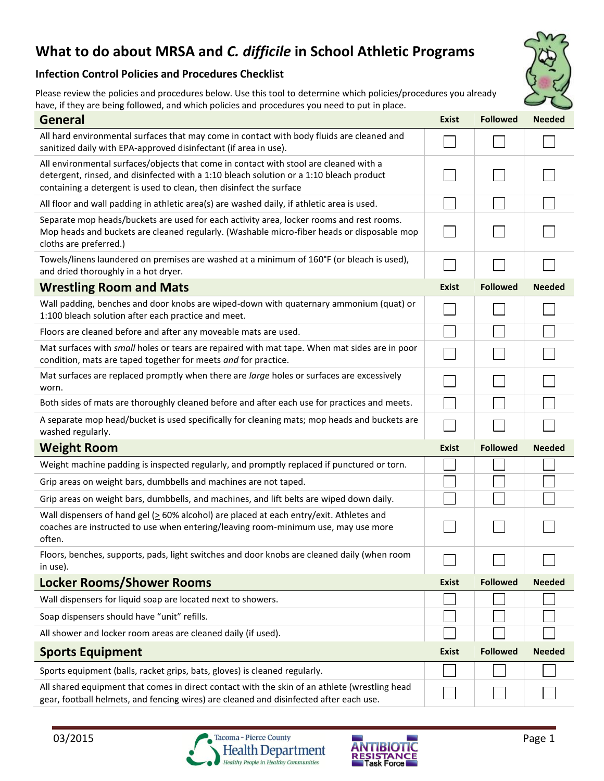## **What to do about MRSA and** *C. difficile* **in School Athletic Programs**

## **Infection Control Policies and Procedures Checklist**

Please review the policies and procedures below. Use this tool to determine which policies/procedures you already have, if they are being followed, and which policies and procedures you need to put in place.

| <b>General</b>                                                                                                                                                                                                                                          | <b>Exist</b> | <b>Followed</b> | <b>Needed</b> |
|---------------------------------------------------------------------------------------------------------------------------------------------------------------------------------------------------------------------------------------------------------|--------------|-----------------|---------------|
| All hard environmental surfaces that may come in contact with body fluids are cleaned and<br>sanitized daily with EPA-approved disinfectant (if area in use).                                                                                           |              |                 |               |
| All environmental surfaces/objects that come in contact with stool are cleaned with a<br>detergent, rinsed, and disinfected with a 1:10 bleach solution or a 1:10 bleach product<br>containing a detergent is used to clean, then disinfect the surface |              |                 |               |
| All floor and wall padding in athletic area(s) are washed daily, if athletic area is used.                                                                                                                                                              |              |                 |               |
| Separate mop heads/buckets are used for each activity area, locker rooms and rest rooms.<br>Mop heads and buckets are cleaned regularly. (Washable micro-fiber heads or disposable mop<br>cloths are preferred.)                                        |              |                 |               |
| Towels/linens laundered on premises are washed at a minimum of 160°F (or bleach is used),<br>and dried thoroughly in a hot dryer.                                                                                                                       |              |                 |               |
| <b>Wrestling Room and Mats</b>                                                                                                                                                                                                                          | <b>Exist</b> | <b>Followed</b> | <b>Needed</b> |
| Wall padding, benches and door knobs are wiped-down with quaternary ammonium (quat) or<br>1:100 bleach solution after each practice and meet.                                                                                                           |              |                 |               |
| Floors are cleaned before and after any moveable mats are used.                                                                                                                                                                                         |              |                 |               |
| Mat surfaces with small holes or tears are repaired with mat tape. When mat sides are in poor<br>condition, mats are taped together for meets and for practice.                                                                                         |              |                 |               |
| Mat surfaces are replaced promptly when there are large holes or surfaces are excessively<br>worn.                                                                                                                                                      |              |                 |               |
| Both sides of mats are thoroughly cleaned before and after each use for practices and meets.                                                                                                                                                            |              |                 |               |
| A separate mop head/bucket is used specifically for cleaning mats; mop heads and buckets are<br>washed regularly.                                                                                                                                       |              |                 |               |
| <b>Weight Room</b>                                                                                                                                                                                                                                      | <b>Exist</b> | <b>Followed</b> | <b>Needed</b> |
| Weight machine padding is inspected regularly, and promptly replaced if punctured or torn.                                                                                                                                                              |              |                 |               |
| Grip areas on weight bars, dumbbells and machines are not taped.                                                                                                                                                                                        |              |                 |               |
| Grip areas on weight bars, dumbbells, and machines, and lift belts are wiped down daily.                                                                                                                                                                |              |                 |               |
| Wall dispensers of hand gel ( $\geq$ 60% alcohol) are placed at each entry/exit. Athletes and<br>coaches are instructed to use when entering/leaving room-minimum use, may use more<br>often.                                                           |              |                 |               |
| Floors, benches, supports, pads, light switches and door knobs are cleaned daily (when room<br>in use).                                                                                                                                                 |              |                 |               |
| <b>Locker Rooms/Shower Rooms</b>                                                                                                                                                                                                                        | <b>Exist</b> | <b>Followed</b> | <b>Needed</b> |
| Wall dispensers for liquid soap are located next to showers.                                                                                                                                                                                            |              |                 |               |
| Soap dispensers should have "unit" refills.                                                                                                                                                                                                             |              |                 |               |
| All shower and locker room areas are cleaned daily (if used).                                                                                                                                                                                           |              |                 |               |
| <b>Sports Equipment</b>                                                                                                                                                                                                                                 | <b>Exist</b> | <b>Followed</b> | <b>Needed</b> |
| Sports equipment (balls, racket grips, bats, gloves) is cleaned regularly.                                                                                                                                                                              |              |                 |               |
| All shared equipment that comes in direct contact with the skin of an athlete (wrestling head<br>gear, football helmets, and fencing wires) are cleaned and disinfected after each use.                                                                 |              |                 |               |